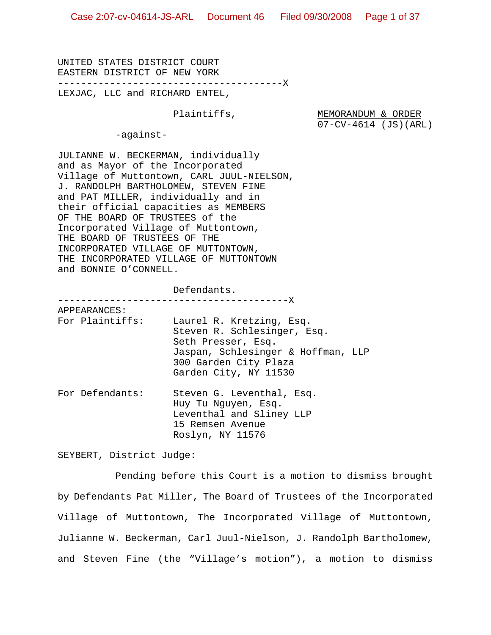UNITED STATES DISTRICT COURT EASTERN DISTRICT OF NEW YORK ---------------------------------------X LEXJAC, LLC and RICHARD ENTEL,

Plaintiffs, MEMORANDUM & ORDER 07-CV-4614 (JS)(ARL)

-against-

JULIANNE W. BECKERMAN, individually and as Mayor of the Incorporated Village of Muttontown, CARL JUUL-NIELSON, J. RANDOLPH BARTHOLOMEW, STEVEN FINE and PAT MILLER, individually and in their official capacities as MEMBERS OF THE BOARD OF TRUSTEES of the Incorporated Village of Muttontown, THE BOARD OF TRUSTEES OF THE INCORPORATED VILLAGE OF MUTTONTOWN, THE INCORPORATED VILLAGE OF MUTTONTOWN and BONNIE O'CONNELL.

Defendants.

|              |                 | ---------------------------X                                                                                                                                          |
|--------------|-----------------|-----------------------------------------------------------------------------------------------------------------------------------------------------------------------|
| APPEARANCES: |                 |                                                                                                                                                                       |
|              | For Plaintiffs: | Laurel R. Kretzing, Esg.<br>Steven R. Schlesinger, Esq.<br>Seth Presser, Esq.<br>Jaspan, Schlesinger & Hoffman, LLP<br>300 Garden City Plaza<br>Garden City, NY 11530 |
|              | For Defendants: | Steven G. Leventhal, Esq.<br>Huy Tu Nguyen, Esg.<br>Leventhal and Sliney LLP<br>15 Remsen Avenue<br>Roslyn, NY 11576                                                  |

SEYBERT, District Judge:

Pending before this Court is a motion to dismiss brought by Defendants Pat Miller, The Board of Trustees of the Incorporated Village of Muttontown, The Incorporated Village of Muttontown, Julianne W. Beckerman, Carl Juul-Nielson, J. Randolph Bartholomew, and Steven Fine (the "Village's motion"), a motion to dismiss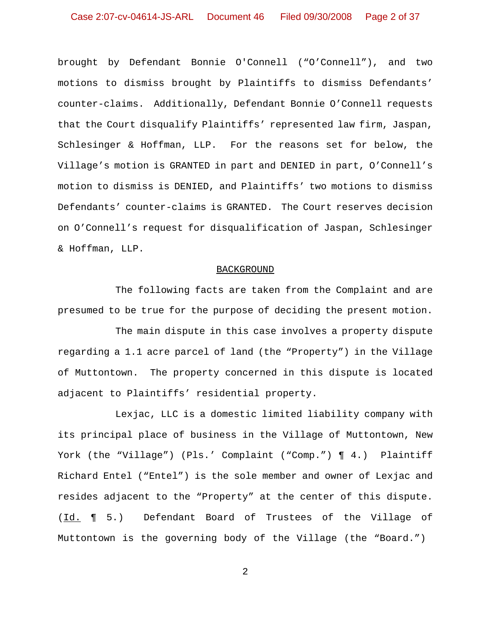brought by Defendant Bonnie O'Connell ("O'Connell"), and two motions to dismiss brought by Plaintiffs to dismiss Defendants' counter-claims. Additionally, Defendant Bonnie O'Connell requests that the Court disqualify Plaintiffs' represented law firm, Jaspan, Schlesinger & Hoffman, LLP. For the reasons set for below, the Village's motion is GRANTED in part and DENIED in part, O'Connell's motion to dismiss is DENIED, and Plaintiffs' two motions to dismiss Defendants' counter-claims is GRANTED. The Court reserves decision on O'Connell's request for disqualification of Jaspan, Schlesinger & Hoffman, LLP.

#### BACKGROUND

The following facts are taken from the Complaint and are presumed to be true for the purpose of deciding the present motion.

The main dispute in this case involves a property dispute regarding a 1.1 acre parcel of land (the "Property") in the Village of Muttontown. The property concerned in this dispute is located adjacent to Plaintiffs' residential property.

Lexjac, LLC is a domestic limited liability company with its principal place of business in the Village of Muttontown, New York (the "Village") (Pls.' Complaint ("Comp.") ¶ 4.) Plaintiff Richard Entel ("Entel") is the sole member and owner of Lexjac and resides adjacent to the "Property" at the center of this dispute. (Id. ¶ 5.) Defendant Board of Trustees of the Village of Muttontown is the governing body of the Village (the "Board.")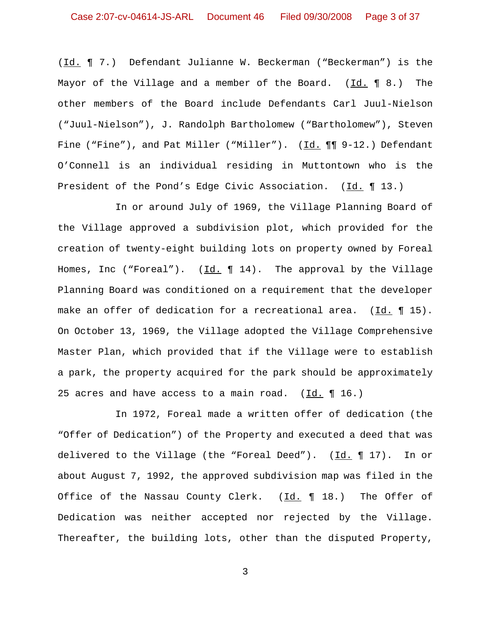(Id. ¶ 7.) Defendant Julianne W. Beckerman ("Beckerman") is the Mayor of the Village and a member of the Board.  $(Id. \P 8.)$  The other members of the Board include Defendants Carl Juul-Nielson ("Juul-Nielson"), J. Randolph Bartholomew ("Bartholomew"), Steven Fine ("Fine"), and Pat Miller ("Miller"). (Id.  $\P\P$ 9-12.) Defendant O'Connell is an individual residing in Muttontown who is the President of the Pond's Edge Civic Association. (Id. 13.)

In or around July of 1969, the Village Planning Board of the Village approved a subdivision plot, which provided for the creation of twenty-eight building lots on property owned by Foreal Homes, Inc ("Foreal").  $(\underline{Id.} \P 14)$ . The approval by the Village Planning Board was conditioned on a requirement that the developer make an offer of dedication for a recreational area. (Id. ¶ 15). On October 13, 1969, the Village adopted the Village Comprehensive Master Plan, which provided that if the Village were to establish a park, the property acquired for the park should be approximately 25 acres and have access to a main road.  $(Id. \P 16.)$ 

In 1972, Foreal made a written offer of dedication (the "Offer of Dedication") of the Property and executed a deed that was delivered to the Village (the "Foreal Deed"). (Id. ¶ 17). In or about August 7, 1992, the approved subdivision map was filed in the Office of the Nassau County Clerk.  $(\underline{Id.} \P 18.)$  The Offer of Dedication was neither accepted nor rejected by the Village. Thereafter, the building lots, other than the disputed Property,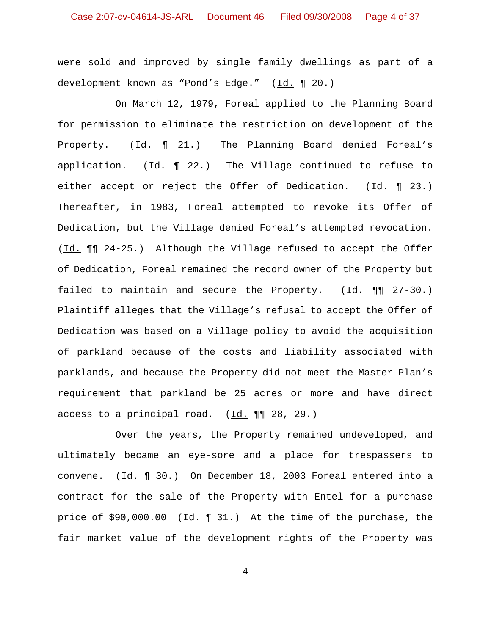were sold and improved by single family dwellings as part of a development known as "Pond's Edge." (Id. ¶ 20.)

On March 12, 1979, Foreal applied to the Planning Board for permission to eliminate the restriction on development of the Property. (Id. | 21.) The Planning Board denied Foreal's application.  $(\underline{Id.} \P 22.)$  The Village continued to refuse to either accept or reject the Offer of Dedication.  $(\underline{Id.} \P 23.)$ Thereafter, in 1983, Foreal attempted to revoke its Offer of Dedication, but the Village denied Foreal's attempted revocation. (Id. ¶¶ 24-25.) Although the Village refused to accept the Offer of Dedication, Foreal remained the record owner of the Property but failed to maintain and secure the Property.  $(\underline{Id.} \text{ \textsf{M}} \text{ \textsf{27-30.}})$ Plaintiff alleges that the Village's refusal to accept the Offer of Dedication was based on a Village policy to avoid the acquisition of parkland because of the costs and liability associated with parklands, and because the Property did not meet the Master Plan's requirement that parkland be 25 acres or more and have direct access to a principal road.  $(\underline{Id.} \P \P \quad 28, 29.)$ 

Over the years, the Property remained undeveloped, and ultimately became an eye-sore and a place for trespassers to convene. (Id. 1 30.) On December 18, 2003 Foreal entered into a contract for the sale of the Property with Entel for a purchase price of \$90,000.00 (Id. ¶ 31.) At the time of the purchase, the fair market value of the development rights of the Property was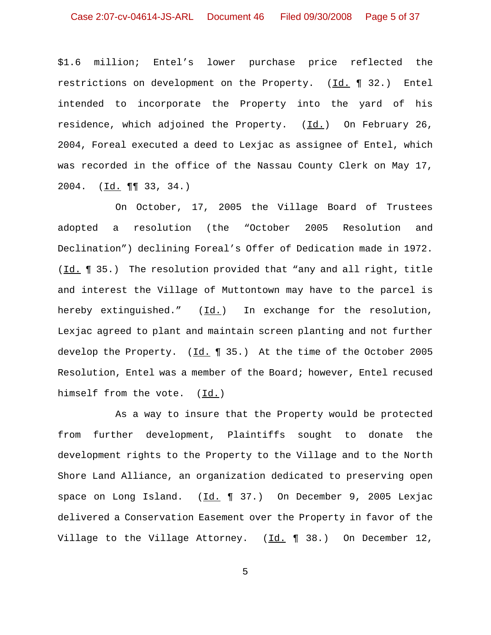\$1.6 million; Entel's lower purchase price reflected the restrictions on development on the Property. (Id. 132.) Entel intended to incorporate the Property into the yard of his residence, which adjoined the Property. (Id.) On February 26, 2004, Foreal executed a deed to Lexjac as assignee of Entel, which was recorded in the office of the Nassau County Clerk on May 17, 2004. (Id. ¶¶ 33, 34.)

On October, 17, 2005 the Village Board of Trustees adopted a resolution (the "October 2005 Resolution and Declination") declining Foreal's Offer of Dedication made in 1972. (Id. ¶ 35.) The resolution provided that "any and all right, title and interest the Village of Muttontown may have to the parcel is hereby extinguished." (Id.) In exchange for the resolution, Lexjac agreed to plant and maintain screen planting and not further develop the Property. (Id. 1 35.) At the time of the October 2005 Resolution, Entel was a member of the Board; however, Entel recused himself from the vote. (Id.)

As a way to insure that the Property would be protected from further development, Plaintiffs sought to donate the development rights to the Property to the Village and to the North Shore Land Alliance, an organization dedicated to preserving open space on Long Island.  $(\underline{Id.} \P 37.)$  On December 9, 2005 Lexjac delivered a Conservation Easement over the Property in favor of the Village to the Village Attorney.  $(\underline{Id.} \P 38.)$  On December 12,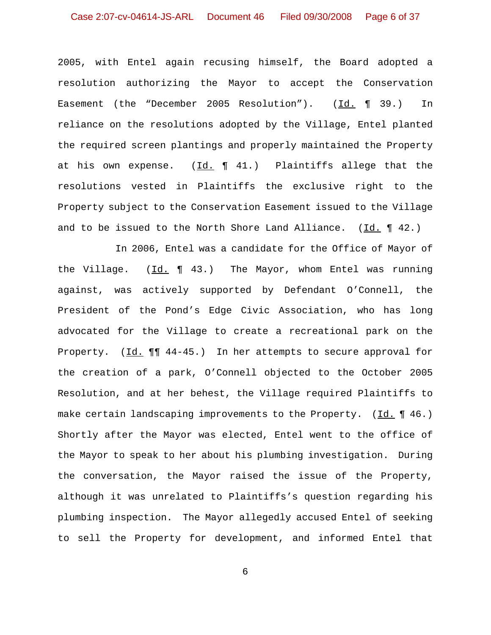2005, with Entel again recusing himself, the Board adopted a resolution authorizing the Mayor to accept the Conservation Easement (the "December 2005 Resolution"). (Id. 1 39.) In reliance on the resolutions adopted by the Village, Entel planted the required screen plantings and properly maintained the Property at his own expense.  $(\underline{Id.} \P 41.)$  Plaintiffs allege that the resolutions vested in Plaintiffs the exclusive right to the Property subject to the Conservation Easement issued to the Village and to be issued to the North Shore Land Alliance.  $(Id. \P 42.)$ 

In 2006, Entel was a candidate for the Office of Mayor of the Village. (Id. ¶ 43.) The Mayor, whom Entel was running against, was actively supported by Defendant O'Connell, the President of the Pond's Edge Civic Association, who has long advocated for the Village to create a recreational park on the Property. (Id.  $\P\P$  44-45.) In her attempts to secure approval for the creation of a park, O'Connell objected to the October 2005 Resolution, and at her behest, the Village required Plaintiffs to make certain landscaping improvements to the Property. (Id. 146.) Shortly after the Mayor was elected, Entel went to the office of the Mayor to speak to her about his plumbing investigation. During the conversation, the Mayor raised the issue of the Property, although it was unrelated to Plaintiffs's question regarding his plumbing inspection. The Mayor allegedly accused Entel of seeking to sell the Property for development, and informed Entel that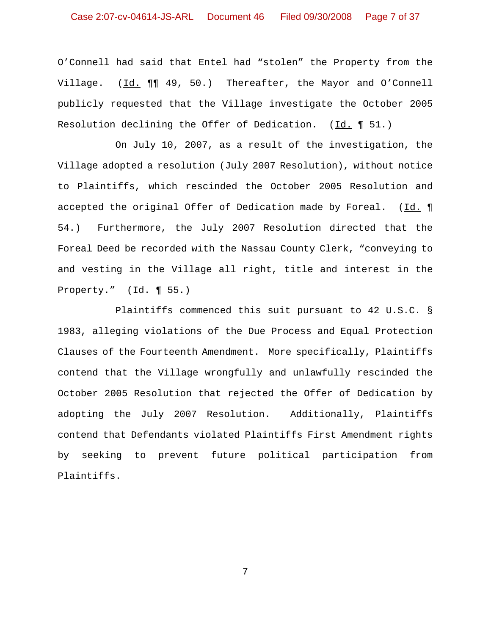# Case 2:07-cv-04614-JS-ARL Document 46 Filed 09/30/2008 Page 7 of 37

O'Connell had said that Entel had "stolen" the Property from the Village. (Id.  $\P\P$  49, 50.) Thereafter, the Mayor and O'Connell publicly requested that the Village investigate the October 2005 Resolution declining the Offer of Dedication. (Id. ¶ 51.)

On July 10, 2007, as a result of the investigation, the Village adopted a resolution (July 2007 Resolution), without notice to Plaintiffs, which rescinded the October 2005 Resolution and accepted the original Offer of Dedication made by Foreal. (Id. 1 54.) Furthermore, the July 2007 Resolution directed that the Foreal Deed be recorded with the Nassau County Clerk, "conveying to and vesting in the Village all right, title and interest in the Property." (Id. ¶ 55.)

Plaintiffs commenced this suit pursuant to 42 U.S.C. § 1983, alleging violations of the Due Process and Equal Protection Clauses of the Fourteenth Amendment. More specifically, Plaintiffs contend that the Village wrongfully and unlawfully rescinded the October 2005 Resolution that rejected the Offer of Dedication by adopting the July 2007 Resolution. Additionally, Plaintiffs contend that Defendants violated Plaintiffs First Amendment rights by seeking to prevent future political participation from Plaintiffs.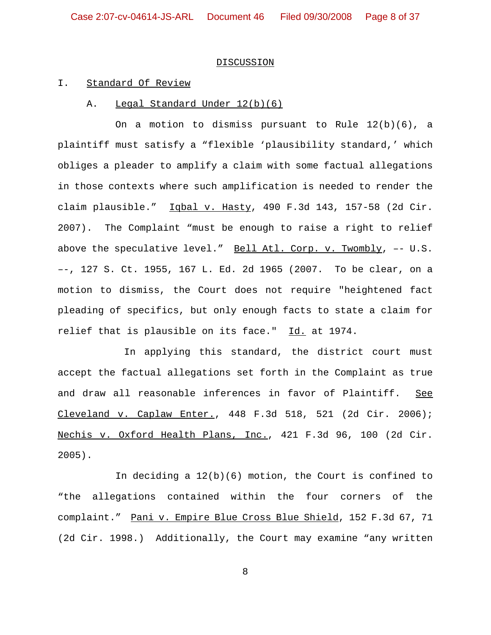#### **DISCUSSION**

#### I. Standard Of Review

#### A. Legal Standard Under 12(b)(6)

On a motion to dismiss pursuant to Rule  $12(b)(6)$ , a plaintiff must satisfy a "flexible 'plausibility standard,' which obliges a pleader to amplify a claim with some factual allegations in those contexts where such amplification is needed to render the claim plausible." Iqbal v. Hasty, 490 F.3d 143, 157-58 (2d Cir. 2007). The Complaint "must be enough to raise a right to relief above the speculative level." Bell Atl. Corp. v. Twombly, –- U.S. –-, 127 S. Ct. 1955, 167 L. Ed. 2d 1965 (2007. To be clear, on a motion to dismiss, the Court does not require "heightened fact pleading of specifics, but only enough facts to state a claim for relief that is plausible on its face." Id. at 1974.

 In applying this standard, the district court must accept the factual allegations set forth in the Complaint as true and draw all reasonable inferences in favor of Plaintiff. See Cleveland v. Caplaw Enter., 448 F.3d 518, 521 (2d Cir. 2006); Nechis v. Oxford Health Plans, Inc., 421 F.3d 96, 100 (2d Cir. 2005).

In deciding a 12(b)(6) motion, the Court is confined to "the allegations contained within the four corners of the complaint." Pani v. Empire Blue Cross Blue Shield, 152 F.3d 67, 71 (2d Cir. 1998.) Additionally, the Court may examine "any written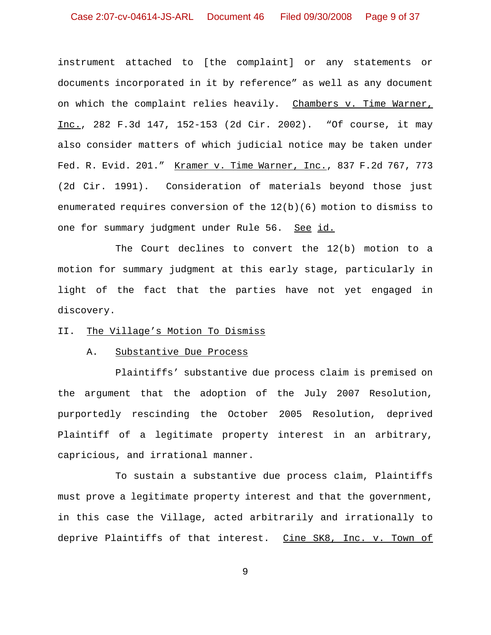instrument attached to [the complaint] or any statements or documents incorporated in it by reference" as well as any document on which the complaint relies heavily. Chambers v. Time Warner, Inc., 282 F.3d 147, 152-153 (2d Cir. 2002). "Of course, it may also consider matters of which judicial notice may be taken under Fed. R. Evid. 201." Kramer v. Time Warner, Inc., 837 F.2d 767, 773 (2d Cir. 1991). Consideration of materials beyond those just enumerated requires conversion of the  $12(b)(6)$  motion to dismiss to one for summary judgment under Rule 56. See id.

The Court declines to convert the 12(b) motion to a motion for summary judgment at this early stage, particularly in light of the fact that the parties have not yet engaged in discovery.

## II. The Village's Motion To Dismiss

#### A. Substantive Due Process

Plaintiffs' substantive due process claim is premised on the argument that the adoption of the July 2007 Resolution, purportedly rescinding the October 2005 Resolution, deprived Plaintiff of a legitimate property interest in an arbitrary, capricious, and irrational manner.

To sustain a substantive due process claim, Plaintiffs must prove a legitimate property interest and that the government, in this case the Village, acted arbitrarily and irrationally to deprive Plaintiffs of that interest. Cine SK8, Inc. v. Town of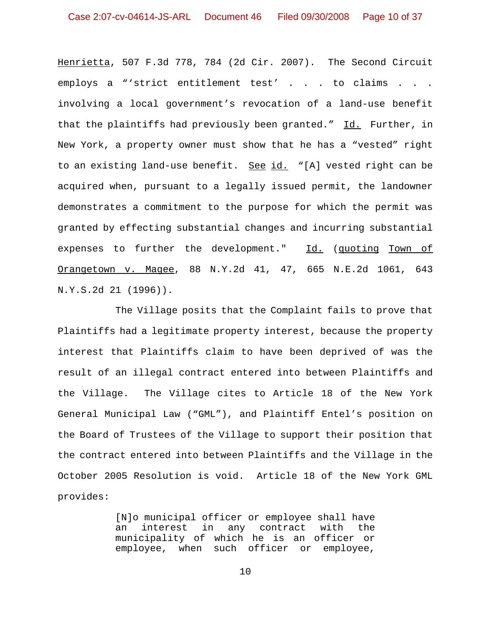Henrietta, 507 F.3d 778, 784 (2d Cir. 2007). The Second Circuit employs a "'strict entitlement test' . . . to claims . . . involving a local government's revocation of a land-use benefit that the plaintiffs had previously been granted." Id. Further, in New York, a property owner must show that he has a "vested" right to an existing land-use benefit. See id. "[A] vested right can be acquired when, pursuant to a legally issued permit, the landowner demonstrates a commitment to the purpose for which the permit was granted by effecting substantial changes and incurring substantial expenses to further the development." Id. (quoting Town of Orangetown v. Magee, 88 N.Y.2d 41, 47, 665 N.E.2d 1061, 643 N.Y.S.2d 21 (1996)).

The Village posits that the Complaint fails to prove that Plaintiffs had a legitimate property interest, because the property interest that Plaintiffs claim to have been deprived of was the result of an illegal contract entered into between Plaintiffs and the Village. The Village cites to Article 18 of the New York General Municipal Law ("GML"), and Plaintiff Entel's position on the Board of Trustees of the Village to support their position that the contract entered into between Plaintiffs and the Village in the October 2005 Resolution is void. Article 18 of the New York GML provides:

> [N]o municipal officer or employee shall have an interest in any contract with the municipality of which he is an officer or employee, when such officer or employee,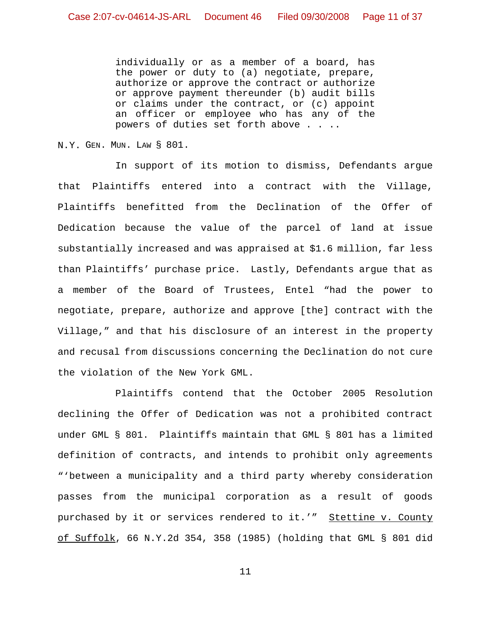individually or as a member of a board, has the power or duty to (a) negotiate, prepare, authorize or approve the contract or authorize or approve payment thereunder (b) audit bills or claims under the contract, or (c) appoint an officer or employee who has any of the powers of duties set forth above . . ..

N.Y. GEN. MUN. LAW § 801.

In support of its motion to dismiss, Defendants argue that Plaintiffs entered into a contract with the Village, Plaintiffs benefitted from the Declination of the Offer of Dedication because the value of the parcel of land at issue substantially increased and was appraised at \$1.6 million, far less than Plaintiffs' purchase price. Lastly, Defendants argue that as a member of the Board of Trustees, Entel "had the power to negotiate, prepare, authorize and approve [the] contract with the Village," and that his disclosure of an interest in the property and recusal from discussions concerning the Declination do not cure the violation of the New York GML.

Plaintiffs contend that the October 2005 Resolution declining the Offer of Dedication was not a prohibited contract under GML § 801. Plaintiffs maintain that GML § 801 has a limited definition of contracts, and intends to prohibit only agreements "'between a municipality and a third party whereby consideration passes from the municipal corporation as a result of goods purchased by it or services rendered to it.'" Stettine v. County of Suffolk, 66 N.Y.2d 354, 358 (1985) (holding that GML § 801 did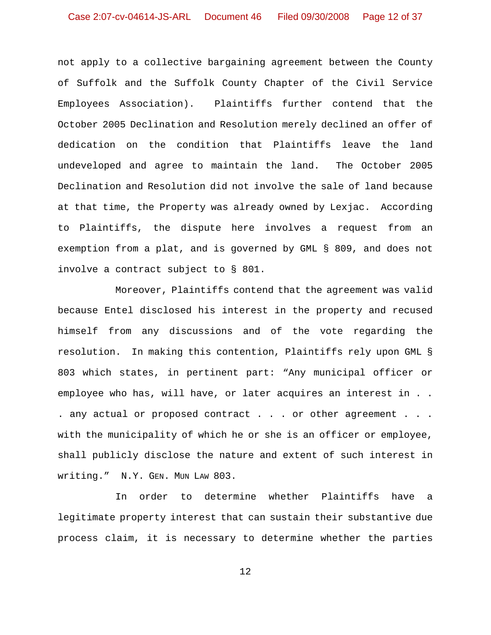not apply to a collective bargaining agreement between the County of Suffolk and the Suffolk County Chapter of the Civil Service Employees Association). Plaintiffs further contend that the October 2005 Declination and Resolution merely declined an offer of dedication on the condition that Plaintiffs leave the land undeveloped and agree to maintain the land. The October 2005 Declination and Resolution did not involve the sale of land because at that time, the Property was already owned by Lexjac. According to Plaintiffs, the dispute here involves a request from an exemption from a plat, and is governed by GML § 809, and does not involve a contract subject to § 801.

Moreover, Plaintiffs contend that the agreement was valid because Entel disclosed his interest in the property and recused himself from any discussions and of the vote regarding the resolution. In making this contention, Plaintiffs rely upon GML § 803 which states, in pertinent part: "Any municipal officer or employee who has, will have, or later acquires an interest in . . . any actual or proposed contract . . . or other agreement . . . with the municipality of which he or she is an officer or employee, shall publicly disclose the nature and extent of such interest in writing." N.Y. GEN. MUN LAW 803.

In order to determine whether Plaintiffs have a legitimate property interest that can sustain their substantive due process claim, it is necessary to determine whether the parties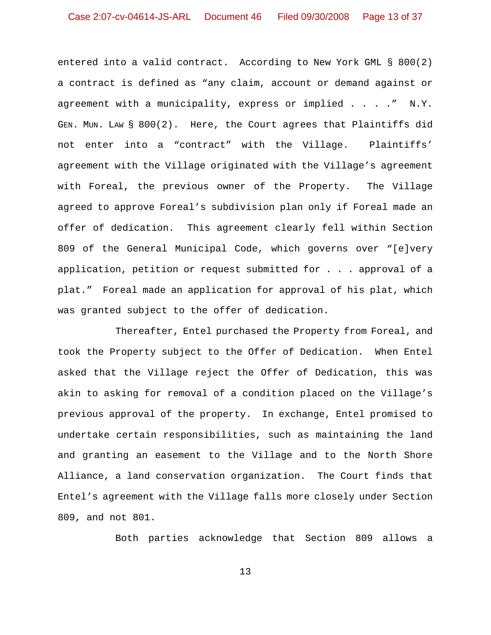entered into a valid contract. According to New York GML § 800(2) a contract is defined as "any claim, account or demand against or agreement with a municipality, express or implied . . . ." N.Y. GEN. MUN. LAW § 800(2). Here, the Court agrees that Plaintiffs did not enter into a "contract" with the Village. Plaintiffs' agreement with the Village originated with the Village's agreement with Foreal, the previous owner of the Property. The Village agreed to approve Foreal's subdivision plan only if Foreal made an offer of dedication. This agreement clearly fell within Section 809 of the General Municipal Code, which governs over "[e]very application, petition or request submitted for . . . approval of a plat." Foreal made an application for approval of his plat, which was granted subject to the offer of dedication.

Thereafter, Entel purchased the Property from Foreal, and took the Property subject to the Offer of Dedication. When Entel asked that the Village reject the Offer of Dedication, this was akin to asking for removal of a condition placed on the Village's previous approval of the property. In exchange, Entel promised to undertake certain responsibilities, such as maintaining the land and granting an easement to the Village and to the North Shore Alliance, a land conservation organization. The Court finds that Entel's agreement with the Village falls more closely under Section 809, and not 801.

Both parties acknowledge that Section 809 allows a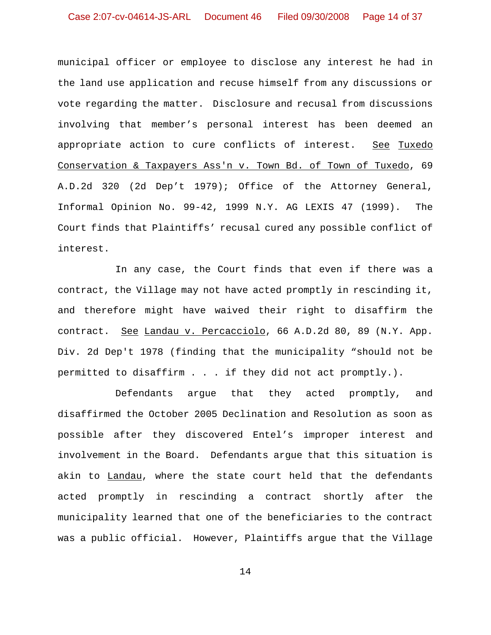municipal officer or employee to disclose any interest he had in the land use application and recuse himself from any discussions or vote regarding the matter. Disclosure and recusal from discussions involving that member's personal interest has been deemed an appropriate action to cure conflicts of interest. See Tuxedo Conservation & Taxpayers Ass'n v. Town Bd. of Town of Tuxedo, 69 A.D.2d 320 (2d Dep't 1979); Office of the Attorney General, Informal Opinion No. 99-42, 1999 N.Y. AG LEXIS 47 (1999). The Court finds that Plaintiffs' recusal cured any possible conflict of interest.

In any case, the Court finds that even if there was a contract, the Village may not have acted promptly in rescinding it, and therefore might have waived their right to disaffirm the contract. See Landau v. Percacciolo, 66 A.D.2d 80, 89 (N.Y. App. Div. 2d Dep't 1978 (finding that the municipality "should not be permitted to disaffirm . . . if they did not act promptly.).

Defendants argue that they acted promptly, and disaffirmed the October 2005 Declination and Resolution as soon as possible after they discovered Entel's improper interest and involvement in the Board. Defendants argue that this situation is akin to Landau, where the state court held that the defendants acted promptly in rescinding a contract shortly after the municipality learned that one of the beneficiaries to the contract was a public official. However, Plaintiffs argue that the Village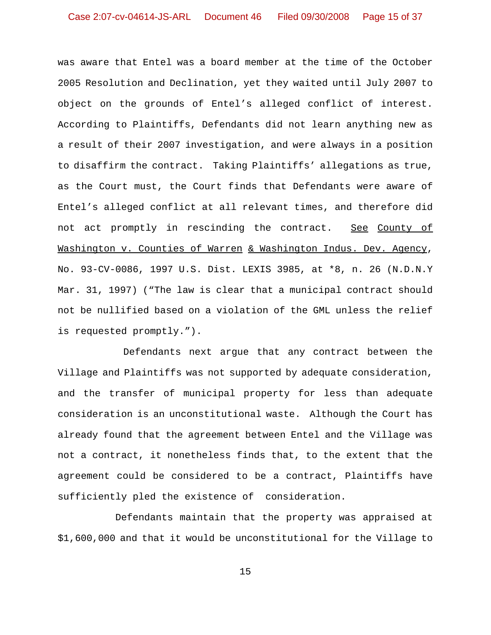was aware that Entel was a board member at the time of the October 2005 Resolution and Declination, yet they waited until July 2007 to object on the grounds of Entel's alleged conflict of interest. According to Plaintiffs, Defendants did not learn anything new as a result of their 2007 investigation, and were always in a position to disaffirm the contract. Taking Plaintiffs' allegations as true, as the Court must, the Court finds that Defendants were aware of Entel's alleged conflict at all relevant times, and therefore did not act promptly in rescinding the contract. See County of Washington v. Counties of Warren & Washington Indus. Dev. Agency, No. 93-CV-0086, 1997 U.S. Dist. LEXIS 3985, at \*8, n. 26 (N.D.N.Y Mar. 31, 1997) ("The law is clear that a municipal contract should not be nullified based on a violation of the GML unless the relief is requested promptly.").

 Defendants next argue that any contract between the Village and Plaintiffs was not supported by adequate consideration, and the transfer of municipal property for less than adequate consideration is an unconstitutional waste. Although the Court has already found that the agreement between Entel and the Village was not a contract, it nonetheless finds that, to the extent that the agreement could be considered to be a contract, Plaintiffs have sufficiently pled the existence of consideration.

Defendants maintain that the property was appraised at \$1,600,000 and that it would be unconstitutional for the Village to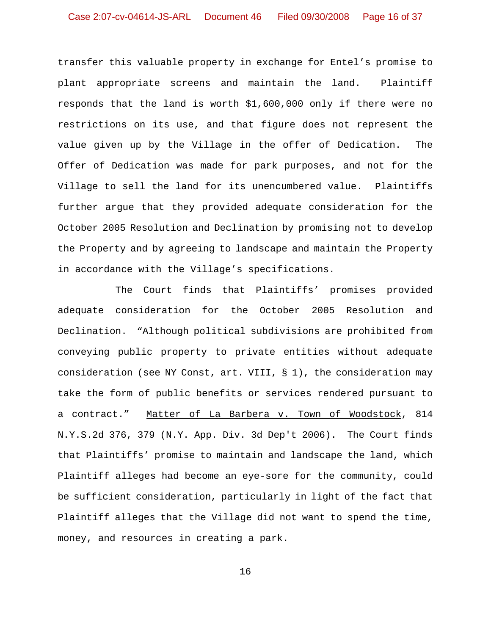transfer this valuable property in exchange for Entel's promise to plant appropriate screens and maintain the land. Plaintiff responds that the land is worth \$1,600,000 only if there were no restrictions on its use, and that figure does not represent the value given up by the Village in the offer of Dedication. The Offer of Dedication was made for park purposes, and not for the Village to sell the land for its unencumbered value. Plaintiffs further argue that they provided adequate consideration for the October 2005 Resolution and Declination by promising not to develop the Property and by agreeing to landscape and maintain the Property in accordance with the Village's specifications.

The Court finds that Plaintiffs' promises provided adequate consideration for the October 2005 Resolution and Declination. "Although political subdivisions are prohibited from conveying public property to private entities without adequate consideration (see NY Const, art. VIII,  $\S$  1), the consideration may take the form of public benefits or services rendered pursuant to a contract." Matter of La Barbera v. Town of Woodstock, 814 N.Y.S.2d 376, 379 (N.Y. App. Div. 3d Dep't 2006). The Court finds that Plaintiffs' promise to maintain and landscape the land, which Plaintiff alleges had become an eye-sore for the community, could be sufficient consideration, particularly in light of the fact that Plaintiff alleges that the Village did not want to spend the time, money, and resources in creating a park.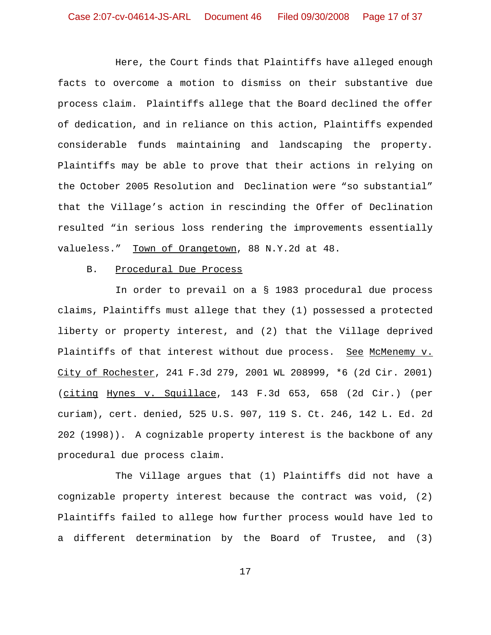Here, the Court finds that Plaintiffs have alleged enough facts to overcome a motion to dismiss on their substantive due process claim. Plaintiffs allege that the Board declined the offer of dedication, and in reliance on this action, Plaintiffs expended considerable funds maintaining and landscaping the property. Plaintiffs may be able to prove that their actions in relying on the October 2005 Resolution and Declination were "so substantial" that the Village's action in rescinding the Offer of Declination resulted "in serious loss rendering the improvements essentially valueless." Town of Orangetown, 88 N.Y.2d at 48.

#### B. Procedural Due Process

In order to prevail on a § 1983 procedural due process claims, Plaintiffs must allege that they (1) possessed a protected liberty or property interest, and (2) that the Village deprived Plaintiffs of that interest without due process. See McMenemy v. City of Rochester, 241 F.3d 279, 2001 WL 208999, \*6 (2d Cir. 2001) (citing Hynes v. Squillace, 143 F.3d 653, 658 (2d Cir.) (per curiam), cert. denied, 525 U.S. 907, 119 S. Ct. 246, 142 L. Ed. 2d 202 (1998)). A cognizable property interest is the backbone of any procedural due process claim.

The Village argues that (1) Plaintiffs did not have a cognizable property interest because the contract was void, (2) Plaintiffs failed to allege how further process would have led to a different determination by the Board of Trustee, and (3)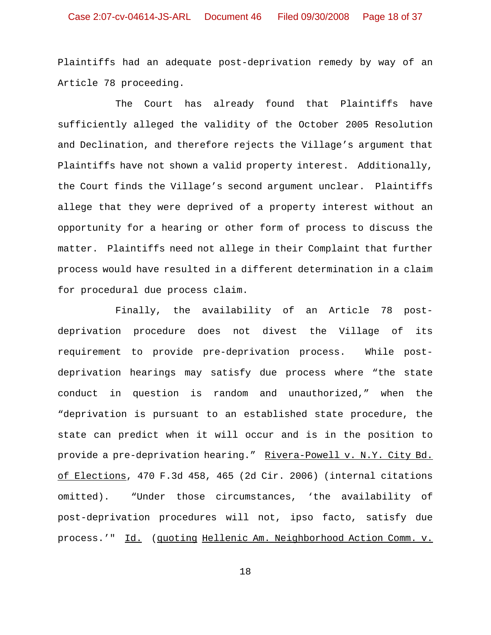Plaintiffs had an adequate post-deprivation remedy by way of an Article 78 proceeding.

The Court has already found that Plaintiffs have sufficiently alleged the validity of the October 2005 Resolution and Declination, and therefore rejects the Village's argument that Plaintiffs have not shown a valid property interest. Additionally, the Court finds the Village's second argument unclear. Plaintiffs allege that they were deprived of a property interest without an opportunity for a hearing or other form of process to discuss the matter. Plaintiffs need not allege in their Complaint that further process would have resulted in a different determination in a claim for procedural due process claim.

Finally, the availability of an Article 78 postdeprivation procedure does not divest the Village of its requirement to provide pre-deprivation process. While postdeprivation hearings may satisfy due process where "the state conduct in question is random and unauthorized," when the "deprivation is pursuant to an established state procedure, the state can predict when it will occur and is in the position to provide a pre-deprivation hearing." Rivera-Powell v. N.Y. City Bd. of Elections, 470 F.3d 458, 465 (2d Cir. 2006) (internal citations omitted). "Under those circumstances, 'the availability of post-deprivation procedures will not, ipso facto, satisfy due process.'" Id. (quoting Hellenic Am. Neighborhood Action Comm. v.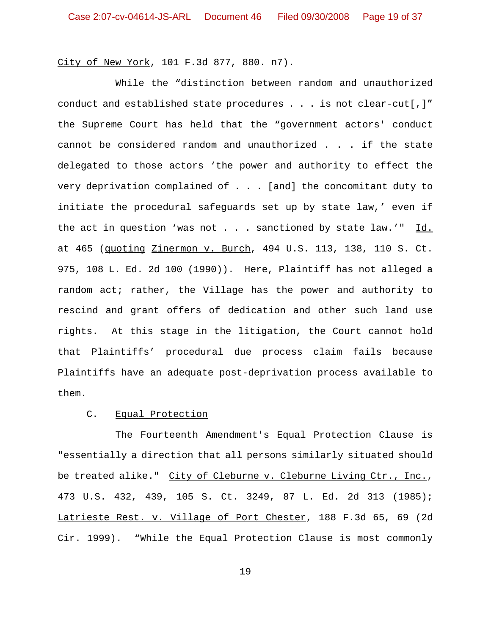City of New York, 101 F.3d 877, 880. n7).

While the "distinction between random and unauthorized conduct and established state procedures . . . is not clear-cut[,]" the Supreme Court has held that the "government actors' conduct cannot be considered random and unauthorized . . . if the state delegated to those actors 'the power and authority to effect the very deprivation complained of . . . [and] the concomitant duty to initiate the procedural safeguards set up by state law,' even if the act in question 'was not . . . sanctioned by state law.'"  $\underline{Id.}$ at 465 (quoting Zinermon v. Burch, 494 U.S. 113, 138, 110 S. Ct. 975, 108 L. Ed. 2d 100 (1990)). Here, Plaintiff has not alleged a random act; rather, the Village has the power and authority to rescind and grant offers of dedication and other such land use rights. At this stage in the litigation, the Court cannot hold that Plaintiffs' procedural due process claim fails because Plaintiffs have an adequate post-deprivation process available to them.

# C. Equal Protection

The Fourteenth Amendment's Equal Protection Clause is "essentially a direction that all persons similarly situated should be treated alike." City of Cleburne v. Cleburne Living Ctr., Inc., 473 U.S. 432, 439, 105 S. Ct. 3249, 87 L. Ed. 2d 313 (1985); Latrieste Rest. v. Village of Port Chester, 188 F.3d 65, 69 (2d Cir. 1999). "While the Equal Protection Clause is most commonly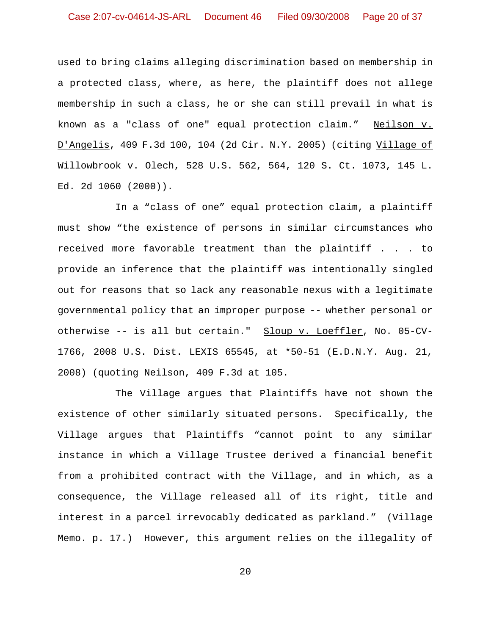used to bring claims alleging discrimination based on membership in a protected class, where, as here, the plaintiff does not allege membership in such a class, he or she can still prevail in what is known as a "class of one" equal protection claim." Neilson v. D'Angelis, 409 F.3d 100, 104 (2d Cir. N.Y. 2005) (citing Village of Willowbrook v. Olech, 528 U.S. 562, 564, 120 S. Ct. 1073, 145 L. Ed. 2d 1060 (2000)).

In a "class of one" equal protection claim, a plaintiff must show "the existence of persons in similar circumstances who received more favorable treatment than the plaintiff . . . to provide an inference that the plaintiff was intentionally singled out for reasons that so lack any reasonable nexus with a legitimate governmental policy that an improper purpose -- whether personal or otherwise -- is all but certain." Sloup v. Loeffler, No. 05-CV-1766, 2008 U.S. Dist. LEXIS 65545, at \*50-51 (E.D.N.Y. Aug. 21, 2008) (quoting Neilson, 409 F.3d at 105.

The Village argues that Plaintiffs have not shown the existence of other similarly situated persons. Specifically, the Village argues that Plaintiffs "cannot point to any similar instance in which a Village Trustee derived a financial benefit from a prohibited contract with the Village, and in which, as a consequence, the Village released all of its right, title and interest in a parcel irrevocably dedicated as parkland." (Village Memo. p. 17.) However, this argument relies on the illegality of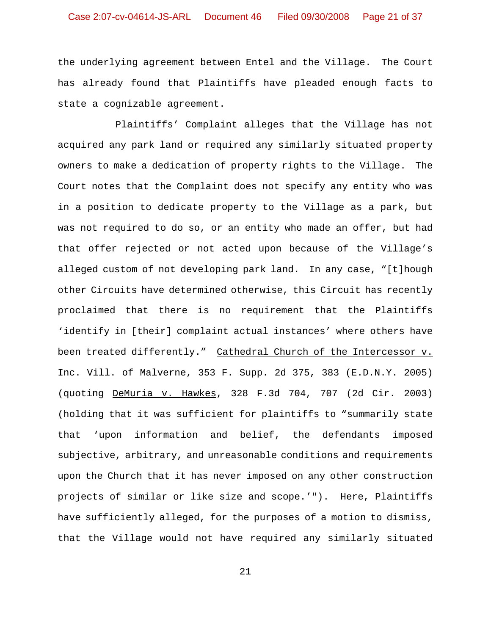the underlying agreement between Entel and the Village. The Court has already found that Plaintiffs have pleaded enough facts to state a cognizable agreement.

Plaintiffs' Complaint alleges that the Village has not acquired any park land or required any similarly situated property owners to make a dedication of property rights to the Village. The Court notes that the Complaint does not specify any entity who was in a position to dedicate property to the Village as a park, but was not required to do so, or an entity who made an offer, but had that offer rejected or not acted upon because of the Village's alleged custom of not developing park land. In any case, "[t]hough other Circuits have determined otherwise, this Circuit has recently proclaimed that there is no requirement that the Plaintiffs 'identify in [their] complaint actual instances' where others have been treated differently." Cathedral Church of the Intercessor v. Inc. Vill. of Malverne, 353 F. Supp. 2d 375, 383 (E.D.N.Y. 2005) (quoting DeMuria v. Hawkes, 328 F.3d 704, 707 (2d Cir. 2003) (holding that it was sufficient for plaintiffs to "summarily state that 'upon information and belief, the defendants imposed subjective, arbitrary, and unreasonable conditions and requirements upon the Church that it has never imposed on any other construction projects of similar or like size and scope.'"). Here, Plaintiffs have sufficiently alleged, for the purposes of a motion to dismiss, that the Village would not have required any similarly situated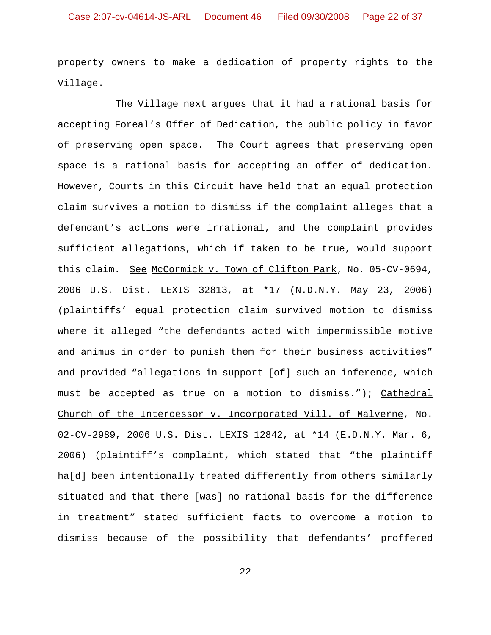property owners to make a dedication of property rights to the Village.

The Village next argues that it had a rational basis for accepting Foreal's Offer of Dedication, the public policy in favor of preserving open space. The Court agrees that preserving open space is a rational basis for accepting an offer of dedication. However, Courts in this Circuit have held that an equal protection claim survives a motion to dismiss if the complaint alleges that a defendant's actions were irrational, and the complaint provides sufficient allegations, which if taken to be true, would support this claim. See McCormick v. Town of Clifton Park, No. 05-CV-0694, 2006 U.S. Dist. LEXIS 32813, at \*17 (N.D.N.Y. May 23, 2006) (plaintiffs' equal protection claim survived motion to dismiss where it alleged "the defendants acted with impermissible motive and animus in order to punish them for their business activities" and provided "allegations in support [of] such an inference, which must be accepted as true on a motion to dismiss."); Cathedral Church of the Intercessor v. Incorporated Vill. of Malverne, No. 02-CV-2989, 2006 U.S. Dist. LEXIS 12842, at \*14 (E.D.N.Y. Mar. 6, 2006) (plaintiff's complaint, which stated that "the plaintiff ha[d] been intentionally treated differently from others similarly situated and that there [was] no rational basis for the difference in treatment" stated sufficient facts to overcome a motion to dismiss because of the possibility that defendants' proffered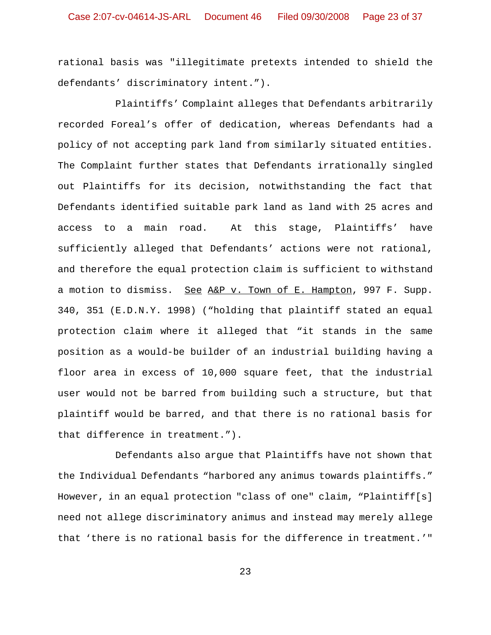rational basis was "illegitimate pretexts intended to shield the defendants' discriminatory intent.").

Plaintiffs' Complaint alleges that Defendants arbitrarily recorded Foreal's offer of dedication, whereas Defendants had a policy of not accepting park land from similarly situated entities. The Complaint further states that Defendants irrationally singled out Plaintiffs for its decision, notwithstanding the fact that Defendants identified suitable park land as land with 25 acres and access to a main road. At this stage, Plaintiffs' have sufficiently alleged that Defendants' actions were not rational, and therefore the equal protection claim is sufficient to withstand a motion to dismiss. See A&P v. Town of E. Hampton, 997 F. Supp. 340, 351 (E.D.N.Y. 1998) ("holding that plaintiff stated an equal protection claim where it alleged that "it stands in the same position as a would-be builder of an industrial building having a floor area in excess of 10,000 square feet, that the industrial user would not be barred from building such a structure, but that plaintiff would be barred, and that there is no rational basis for that difference in treatment.").

Defendants also argue that Plaintiffs have not shown that the Individual Defendants "harbored any animus towards plaintiffs." However, in an equal protection "class of one" claim, "Plaintiff[s] need not allege discriminatory animus and instead may merely allege that 'there is no rational basis for the difference in treatment.'"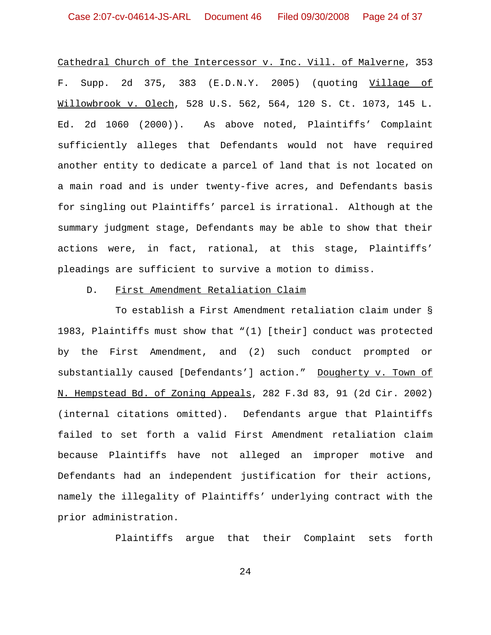Cathedral Church of the Intercessor v. Inc. Vill. of Malverne, 353 F. Supp. 2d 375, 383 (E.D.N.Y. 2005) (quoting Village of Willowbrook v. Olech, 528 U.S. 562, 564, 120 S. Ct. 1073, 145 L. Ed. 2d 1060 (2000)). As above noted, Plaintiffs' Complaint sufficiently alleges that Defendants would not have required another entity to dedicate a parcel of land that is not located on a main road and is under twenty-five acres, and Defendants basis for singling out Plaintiffs' parcel is irrational. Although at the summary judgment stage, Defendants may be able to show that their actions were, in fact, rational, at this stage, Plaintiffs' pleadings are sufficient to survive a motion to dimiss.

## D. First Amendment Retaliation Claim

To establish a First Amendment retaliation claim under § 1983, Plaintiffs must show that "(1) [their] conduct was protected by the First Amendment, and (2) such conduct prompted or substantially caused [Defendants'] action." Dougherty v. Town of N. Hempstead Bd. of Zoning Appeals, 282 F.3d 83, 91 (2d Cir. 2002) (internal citations omitted). Defendants argue that Plaintiffs failed to set forth a valid First Amendment retaliation claim because Plaintiffs have not alleged an improper motive and Defendants had an independent justification for their actions, namely the illegality of Plaintiffs' underlying contract with the prior administration.

Plaintiffs argue that their Complaint sets forth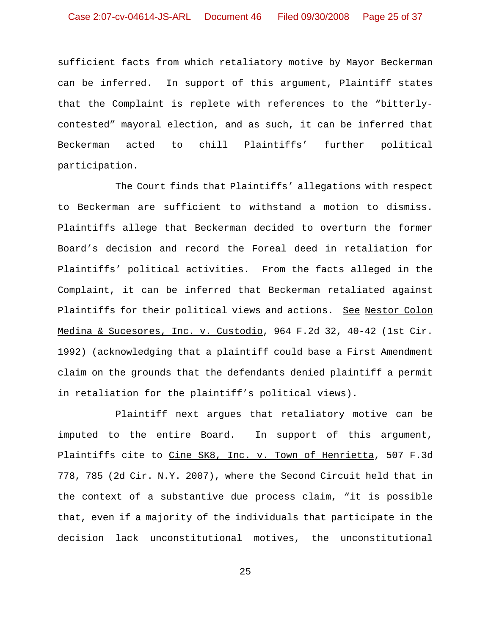sufficient facts from which retaliatory motive by Mayor Beckerman can be inferred. In support of this argument, Plaintiff states that the Complaint is replete with references to the "bitterlycontested" mayoral election, and as such, it can be inferred that Beckerman acted to chill Plaintiffs' further political participation.

The Court finds that Plaintiffs' allegations with respect to Beckerman are sufficient to withstand a motion to dismiss. Plaintiffs allege that Beckerman decided to overturn the former Board's decision and record the Foreal deed in retaliation for Plaintiffs' political activities. From the facts alleged in the Complaint, it can be inferred that Beckerman retaliated against Plaintiffs for their political views and actions. See Nestor Colon Medina & Sucesores, Inc. v. Custodio, 964 F.2d 32, 40-42 (1st Cir. 1992) (acknowledging that a plaintiff could base a First Amendment claim on the grounds that the defendants denied plaintiff a permit in retaliation for the plaintiff's political views).

Plaintiff next argues that retaliatory motive can be imputed to the entire Board. In support of this argument, Plaintiffs cite to Cine SK8, Inc. v. Town of Henrietta, 507 F.3d 778, 785 (2d Cir. N.Y. 2007), where the Second Circuit held that in the context of a substantive due process claim, "it is possible that, even if a majority of the individuals that participate in the decision lack unconstitutional motives, the unconstitutional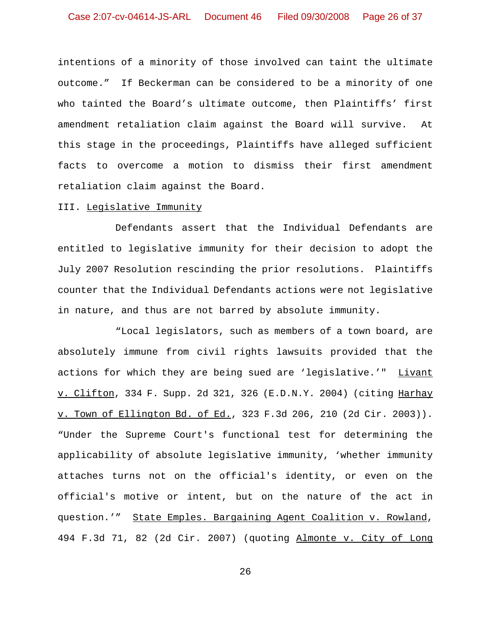intentions of a minority of those involved can taint the ultimate outcome." If Beckerman can be considered to be a minority of one who tainted the Board's ultimate outcome, then Plaintiffs' first amendment retaliation claim against the Board will survive. At this stage in the proceedings, Plaintiffs have alleged sufficient facts to overcome a motion to dismiss their first amendment retaliation claim against the Board.

#### III. Legislative Immunity

Defendants assert that the Individual Defendants are entitled to legislative immunity for their decision to adopt the July 2007 Resolution rescinding the prior resolutions. Plaintiffs counter that the Individual Defendants actions were not legislative in nature, and thus are not barred by absolute immunity.

"Local legislators, such as members of a town board, are absolutely immune from civil rights lawsuits provided that the actions for which they are being sued are 'legislative.'" Livant v. Clifton, 334 F. Supp. 2d 321, 326 (E.D.N.Y. 2004) (citing Harhay v. Town of Ellington Bd. of Ed., 323 F.3d 206, 210 (2d Cir. 2003)). "Under the Supreme Court's functional test for determining the applicability of absolute legislative immunity, 'whether immunity attaches turns not on the official's identity, or even on the official's motive or intent, but on the nature of the act in question.'" State Emples. Bargaining Agent Coalition v. Rowland, 494 F.3d 71, 82 (2d Cir. 2007) (quoting Almonte v. City of Long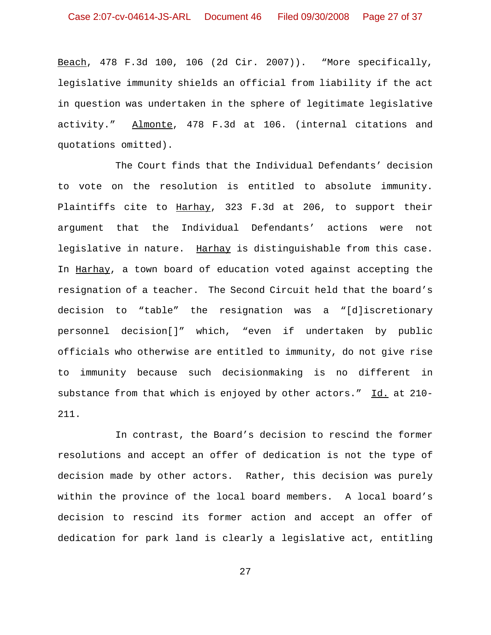Beach, 478 F.3d 100, 106 (2d Cir. 2007)). "More specifically, legislative immunity shields an official from liability if the act in question was undertaken in the sphere of legitimate legislative activity." Almonte, 478 F.3d at 106. (internal citations and quotations omitted).

The Court finds that the Individual Defendants' decision to vote on the resolution is entitled to absolute immunity. Plaintiffs cite to Harhay, 323 F.3d at 206, to support their argument that the Individual Defendants' actions were not legislative in nature. Harhay is distinguishable from this case. In Harhay, a town board of education voted against accepting the resignation of a teacher. The Second Circuit held that the board's decision to "table" the resignation was a "[d]iscretionary personnel decision[]" which, "even if undertaken by public officials who otherwise are entitled to immunity, do not give rise to immunity because such decisionmaking is no different in substance from that which is enjoyed by other actors." Id. at 210- 211.

In contrast, the Board's decision to rescind the former resolutions and accept an offer of dedication is not the type of decision made by other actors. Rather, this decision was purely within the province of the local board members. A local board's decision to rescind its former action and accept an offer of dedication for park land is clearly a legislative act, entitling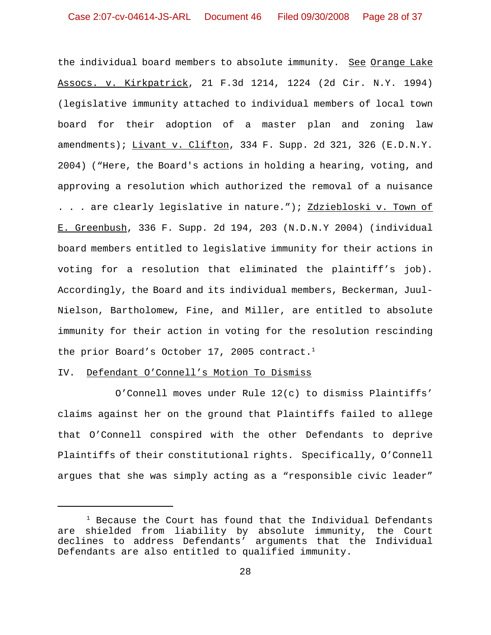the individual board members to absolute immunity. See Orange Lake Assocs. v. Kirkpatrick, 21 F.3d 1214, 1224 (2d Cir. N.Y. 1994) (legislative immunity attached to individual members of local town board for their adoption of a master plan and zoning law amendments); Livant v. Clifton, 334 F. Supp. 2d 321, 326 (E.D.N.Y. 2004) ("Here, the Board's actions in holding a hearing, voting, and approving a resolution which authorized the removal of a nuisance . . . are clearly legislative in nature."); <u>Zdziebloski v. Town of</u> E. Greenbush, 336 F. Supp. 2d 194, 203 (N.D.N.Y 2004) (individual board members entitled to legislative immunity for their actions in voting for a resolution that eliminated the plaintiff's job). Accordingly, the Board and its individual members, Beckerman, Juul-Nielson, Bartholomew, Fine, and Miller, are entitled to absolute immunity for their action in voting for the resolution rescinding the prior Board's October 17, 2005 contract.<sup>1</sup>

#### IV. Defendant O'Connell's Motion To Dismiss

O'Connell moves under Rule 12(c) to dismiss Plaintiffs' claims against her on the ground that Plaintiffs failed to allege that O'Connell conspired with the other Defendants to deprive Plaintiffs of their constitutional rights. Specifically, O'Connell argues that she was simply acting as a "responsible civic leader"

 $1$  Because the Court has found that the Individual Defendants are shielded from liability by absolute immunity, the Court declines to address Defendants' arguments that the Individual Defendants are also entitled to qualified immunity.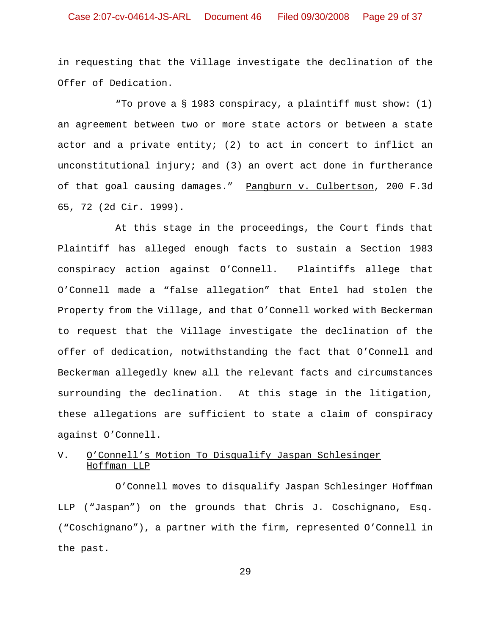in requesting that the Village investigate the declination of the Offer of Dedication.

"To prove a § 1983 conspiracy, a plaintiff must show: (1) an agreement between two or more state actors or between a state actor and a private entity; (2) to act in concert to inflict an unconstitutional injury; and (3) an overt act done in furtherance of that goal causing damages." Pangburn v. Culbertson, 200 F.3d 65, 72 (2d Cir. 1999).

 At this stage in the proceedings, the Court finds that Plaintiff has alleged enough facts to sustain a Section 1983 conspiracy action against O'Connell. Plaintiffs allege that O'Connell made a "false allegation" that Entel had stolen the Property from the Village, and that O'Connell worked with Beckerman to request that the Village investigate the declination of the offer of dedication, notwithstanding the fact that O'Connell and Beckerman allegedly knew all the relevant facts and circumstances surrounding the declination. At this stage in the litigation, these allegations are sufficient to state a claim of conspiracy against O'Connell.

# V. O'Connell's Motion To Disqualify Jaspan Schlesinger Hoffman LLP

O'Connell moves to disqualify Jaspan Schlesinger Hoffman LLP ("Jaspan") on the grounds that Chris J. Coschignano, Esq. ("Coschignano"), a partner with the firm, represented O'Connell in the past.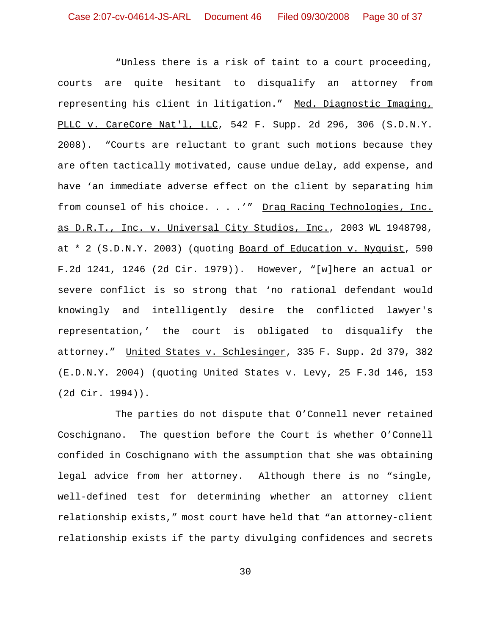"Unless there is a risk of taint to a court proceeding, courts are quite hesitant to disqualify an attorney from representing his client in litigation." Med. Diagnostic Imaging, PLLC v. CareCore Nat'l, LLC, 542 F. Supp. 2d 296, 306 (S.D.N.Y. 2008). "Courts are reluctant to grant such motions because they are often tactically motivated, cause undue delay, add expense, and have 'an immediate adverse effect on the client by separating him from counsel of his choice. . . .'" Drag Racing Technologies, Inc. as D.R.T., Inc. v. Universal City Studios, Inc., 2003 WL 1948798, at \* 2 (S.D.N.Y. 2003) (quoting Board of Education v. Nyquist, 590 F.2d 1241, 1246 (2d Cir. 1979)). However, "[w]here an actual or severe conflict is so strong that 'no rational defendant would knowingly and intelligently desire the conflicted lawyer's representation,' the court is obligated to disqualify the attorney." United States v. Schlesinger, 335 F. Supp. 2d 379, 382 (E.D.N.Y. 2004) (quoting United States v. Levy, 25 F.3d 146, 153 (2d Cir. 1994)).

The parties do not dispute that O'Connell never retained Coschignano. The question before the Court is whether O'Connell confided in Coschignano with the assumption that she was obtaining legal advice from her attorney. Although there is no "single, well-defined test for determining whether an attorney client relationship exists," most court have held that "an attorney-client relationship exists if the party divulging confidences and secrets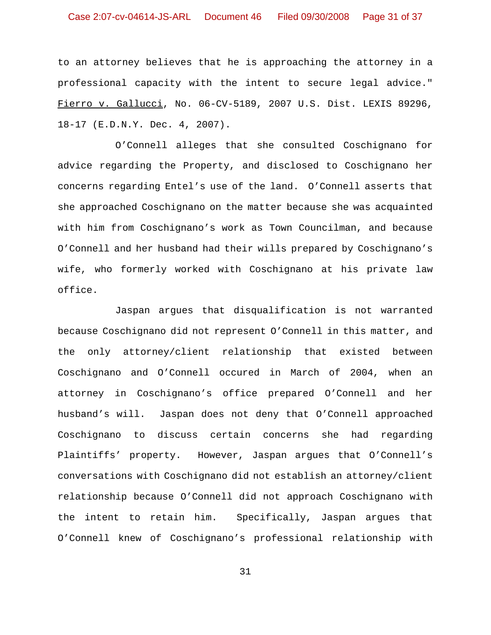to an attorney believes that he is approaching the attorney in a professional capacity with the intent to secure legal advice." Fierro v. Gallucci, No. 06-CV-5189, 2007 U.S. Dist. LEXIS 89296, 18-17 (E.D.N.Y. Dec. 4, 2007).

O'Connell alleges that she consulted Coschignano for advice regarding the Property, and disclosed to Coschignano her concerns regarding Entel's use of the land. O'Connell asserts that she approached Coschignano on the matter because she was acquainted with him from Coschignano's work as Town Councilman, and because O'Connell and her husband had their wills prepared by Coschignano's wife, who formerly worked with Coschignano at his private law office.

Jaspan argues that disqualification is not warranted because Coschignano did not represent O'Connell in this matter, and the only attorney/client relationship that existed between Coschignano and O'Connell occured in March of 2004, when an attorney in Coschignano's office prepared O'Connell and her husband's will. Jaspan does not deny that O'Connell approached Coschignano to discuss certain concerns she had regarding Plaintiffs' property. However, Jaspan argues that O'Connell's conversations with Coschignano did not establish an attorney/client relationship because O'Connell did not approach Coschignano with the intent to retain him. Specifically, Jaspan argues that O'Connell knew of Coschignano's professional relationship with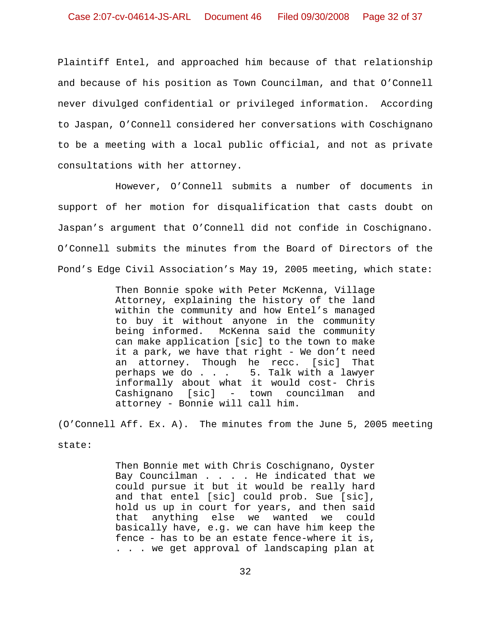Plaintiff Entel, and approached him because of that relationship and because of his position as Town Councilman, and that O'Connell never divulged confidential or privileged information. According to Jaspan, O'Connell considered her conversations with Coschignano to be a meeting with a local public official, and not as private consultations with her attorney.

However, O'Connell submits a number of documents in support of her motion for disqualification that casts doubt on Jaspan's argument that O'Connell did not confide in Coschignano. O'Connell submits the minutes from the Board of Directors of the Pond's Edge Civil Association's May 19, 2005 meeting, which state:

> Then Bonnie spoke with Peter McKenna, Village Attorney, explaining the history of the land within the community and how Entel's managed to buy it without anyone in the community being informed. McKenna said the community can make application [sic] to the town to make it a park, we have that right - We don't need an attorney. Though he recc. [sic] That perhaps we do . . . 5. Talk with a lawyer informally about what it would cost- Chris Cashignano [sic] - town councilman and attorney - Bonnie will call him.

(O'Connell Aff. Ex. A). The minutes from the June 5, 2005 meeting

state:

Then Bonnie met with Chris Coschignano, Oyster Bay Councilman . . . . He indicated that we could pursue it but it would be really hard and that entel [sic] could prob. Sue [sic], hold us up in court for years, and then said that anything else we wanted we could basically have, e.g. we can have him keep the fence - has to be an estate fence-where it is, . . . we get approval of landscaping plan at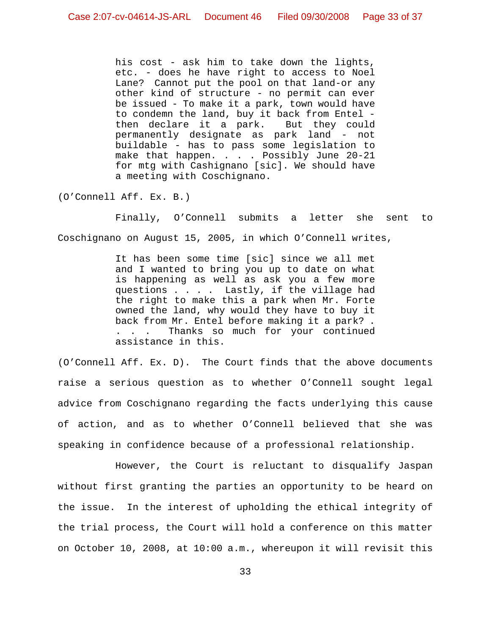his cost - ask him to take down the lights, etc. - does he have right to access to Noel Lane? Cannot put the pool on that land-or any other kind of structure - no permit can ever be issued - To make it a park, town would have to condemn the land, buy it back from Entel then declare it a park. But they could permanently designate as park land - not buildable - has to pass some legislation to make that happen. . . . Possibly June 20-21 for mtg with Cashignano [sic]. We should have a meeting with Coschignano.

(O'Connell Aff. Ex. B.)

Finally, O'Connell submits a letter she sent to Coschignano on August 15, 2005, in which O'Connell writes,

> It has been some time [sic] since we all met and I wanted to bring you up to date on what is happening as well as ask you a few more questions . . . . Lastly, if the village had the right to make this a park when Mr. Forte owned the land, why would they have to buy it back from Mr. Entel before making it a park? . . . . Thanks so much for your continued assistance in this.

(O'Connell Aff. Ex. D). The Court finds that the above documents raise a serious question as to whether O'Connell sought legal advice from Coschignano regarding the facts underlying this cause of action, and as to whether O'Connell believed that she was speaking in confidence because of a professional relationship.

However, the Court is reluctant to disqualify Jaspan without first granting the parties an opportunity to be heard on the issue. In the interest of upholding the ethical integrity of the trial process, the Court will hold a conference on this matter on October 10, 2008, at 10:00 a.m., whereupon it will revisit this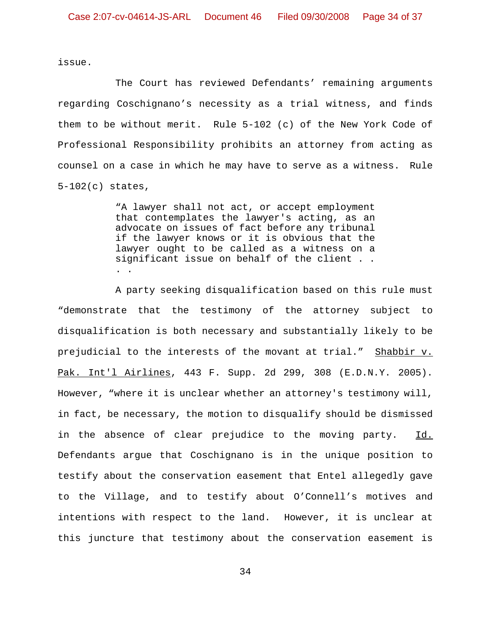issue.

The Court has reviewed Defendants' remaining arguments regarding Coschignano's necessity as a trial witness, and finds them to be without merit. Rule 5-102 (c) of the New York Code of Professional Responsibility prohibits an attorney from acting as counsel on a case in which he may have to serve as a witness. Rule 5-102(c) states,

> "A lawyer shall not act, or accept employment that contemplates the lawyer's acting, as an advocate on issues of fact before any tribunal if the lawyer knows or it is obvious that the lawyer ought to be called as a witness on a significant issue on behalf of the client . . . .

A party seeking disqualification based on this rule must "demonstrate that the testimony of the attorney subject to disqualification is both necessary and substantially likely to be prejudicial to the interests of the movant at trial." Shabbir v. Pak. Int'l Airlines, 443 F. Supp. 2d 299, 308 (E.D.N.Y. 2005). However, "where it is unclear whether an attorney's testimony will, in fact, be necessary, the motion to disqualify should be dismissed in the absence of clear prejudice to the moving party. Id. Defendants argue that Coschignano is in the unique position to testify about the conservation easement that Entel allegedly gave to the Village, and to testify about O'Connell's motives and intentions with respect to the land. However, it is unclear at this juncture that testimony about the conservation easement is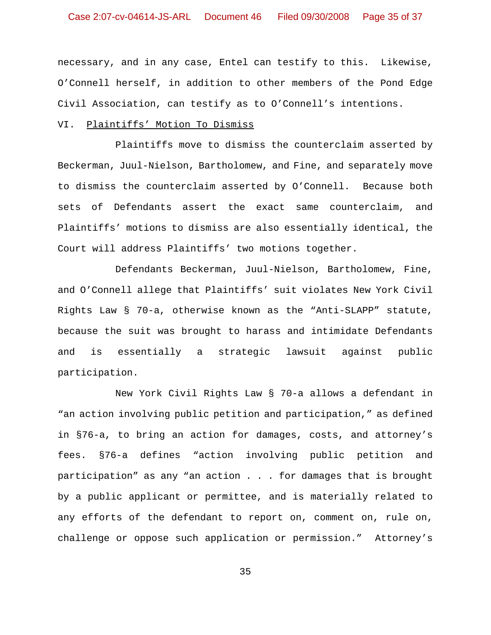necessary, and in any case, Entel can testify to this. Likewise, O'Connell herself, in addition to other members of the Pond Edge Civil Association, can testify as to O'Connell's intentions.

### VI. Plaintiffs' Motion To Dismiss

Plaintiffs move to dismiss the counterclaim asserted by Beckerman, Juul-Nielson, Bartholomew, and Fine, and separately move to dismiss the counterclaim asserted by O'Connell. Because both sets of Defendants assert the exact same counterclaim, and Plaintiffs' motions to dismiss are also essentially identical, the Court will address Plaintiffs' two motions together.

Defendants Beckerman, Juul-Nielson, Bartholomew, Fine, and O'Connell allege that Plaintiffs' suit violates New York Civil Rights Law § 70-a, otherwise known as the "Anti-SLAPP" statute, because the suit was brought to harass and intimidate Defendants and is essentially a strategic lawsuit against public participation.

New York Civil Rights Law § 70-a allows a defendant in "an action involving public petition and participation," as defined in §76-a, to bring an action for damages, costs, and attorney's fees. §76-a defines "action involving public petition and participation" as any "an action . . . for damages that is brought by a public applicant or permittee, and is materially related to any efforts of the defendant to report on, comment on, rule on, challenge or oppose such application or permission." Attorney's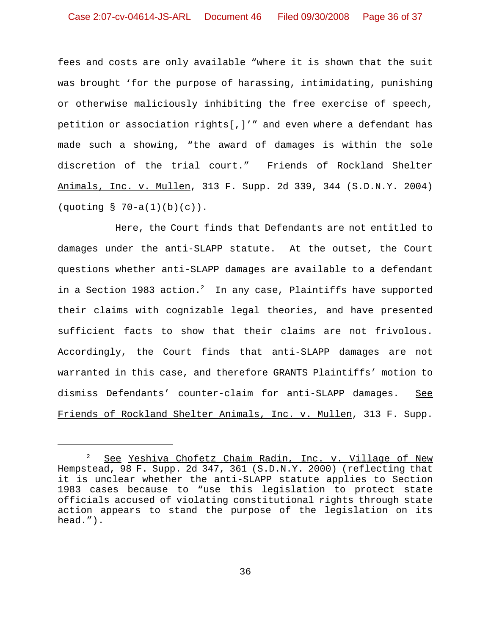fees and costs are only available "where it is shown that the suit was brought 'for the purpose of harassing, intimidating, punishing or otherwise maliciously inhibiting the free exercise of speech, petition or association rights[,]'" and even where a defendant has made such a showing, "the award of damages is within the sole discretion of the trial court." Friends of Rockland Shelter Animals, Inc. v. Mullen, 313 F. Supp. 2d 339, 344 (S.D.N.Y. 2004) (quoting § 70-a(1)(b)(c)).

Here, the Court finds that Defendants are not entitled to damages under the anti-SLAPP statute. At the outset, the Court questions whether anti-SLAPP damages are available to a defendant in a Section 1983 action.<sup>2</sup> In any case, Plaintiffs have supported their claims with cognizable legal theories, and have presented sufficient facts to show that their claims are not frivolous. Accordingly, the Court finds that anti-SLAPP damages are not warranted in this case, and therefore GRANTS Plaintiffs' motion to dismiss Defendants' counter-claim for anti-SLAPP damages. See Friends of Rockland Shelter Animals, Inc. v. Mullen, 313 F. Supp.

<sup>&</sup>lt;sup>2</sup> See Yeshiva Chofetz Chaim Radin, Inc. v. Village of New Hempstead, 98 F. Supp. 2d 347, 361 (S.D.N.Y. 2000) (reflecting that it is unclear whether the anti-SLAPP statute applies to Section 1983 cases because to "use this legislation to protect state officials accused of violating constitutional rights through state action appears to stand the purpose of the legislation on its head.").